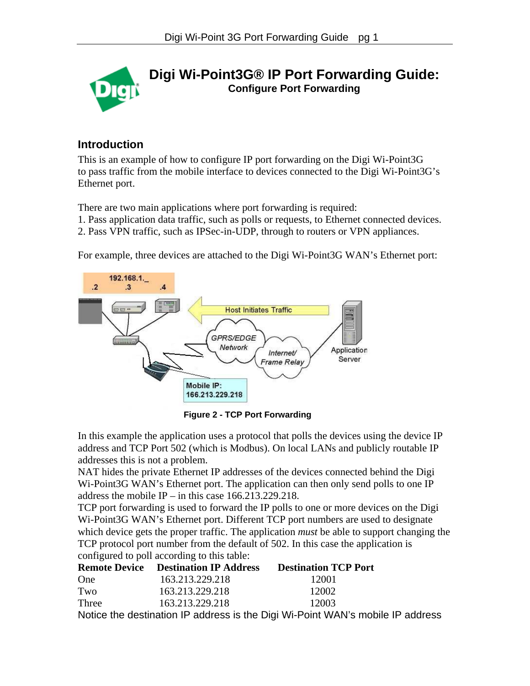

## **Introduction**

This is an example of how to configure IP port forwarding on the Digi Wi-Point3G to pass traffic from the mobile interface to devices connected to the Digi Wi-Point3G's Ethernet port.

There are two main applications where port forwarding is required:

- 1. Pass application data traffic, such as polls or requests, to Ethernet connected devices.
- 2. Pass VPN traffic, such as IPSec-in-UDP, through to routers or VPN appliances.

For example, three devices are attached to the Digi Wi-Point3G WAN's Ethernet port:



 **Figure 2 - TCP Port Forwarding** 

In this example the application uses a protocol that polls the devices using the device IP address and TCP Port 502 (which is Modbus). On local LANs and publicly routable IP addresses this is not a problem.

NAT hides the private Ethernet IP addresses of the devices connected behind the Digi Wi-Point3G WAN's Ethernet port. The application can then only send polls to one IP address the mobile IP – in this case  $166.213.229.218$ .

TCP port forwarding is used to forward the IP polls to one or more devices on the Digi Wi-Point3G WAN's Ethernet port. Different TCP port numbers are used to designate which device gets the proper traffic. The application *must* be able to support changing the TCP protocol port number from the default of 502. In this case the application is configured to poll according to this table:

|            | <b>Remote Device Destination IP Address</b> | <b>Destination TCP Port</b>                                                    |  |
|------------|---------------------------------------------|--------------------------------------------------------------------------------|--|
| <b>One</b> | 163.213.229.218                             | 12001                                                                          |  |
| Two        | 163.213.229.218                             | 12002                                                                          |  |
| Three      | 163.213.229.218                             | 12003                                                                          |  |
|            |                                             | Notice the destination IP address is the Digi Wi-Point WAN's mobile IP address |  |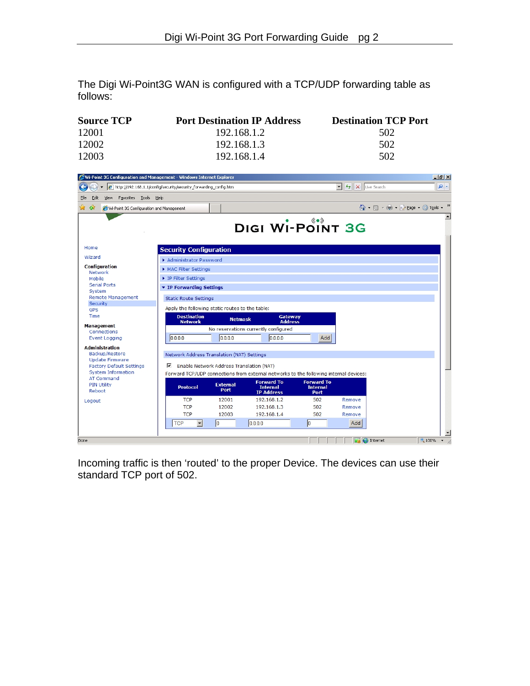The Digi Wi-Point3G WAN is configured with a TCP/UDP forwarding table as follows:

| <b>Source TCP</b> | <b>Port Destination IP Address</b> | <b>Destination TCP Port</b> |
|-------------------|------------------------------------|-----------------------------|
| 12001             | 192.168.1.2                        | 502                         |
| 12002             | 192.168.1.3                        | 502                         |
| 12003             | 192.168.1.4                        | 502                         |



Incoming traffic is then 'routed' to the proper Device. The devices can use their standard TCP port of 502.